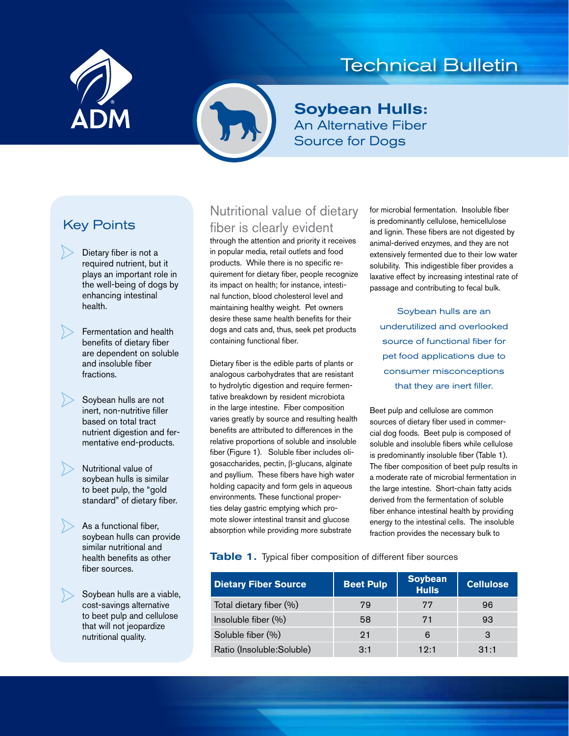

# Technical Bulletin



# Soybean Hulls: An Alternative Fiber Source for Dogs

# Key Points

Dietary fiber is not a required nutrient, but it plays an important role in the well-being of dogs by enhancing intestinal health.

Fermentation and health benefits of dietary fiber are dependent on soluble and insoluble fiber fractions.

Soybean hulls are not inert, non-nutritive filler based on total tract nutrient digestion and fermentative end-products.

Nutritional value of soybean hulls is similar to beet pulp, the "gold standard" of dietary fiber.

As a functional fiber, soybean hulls can provide similar nutritional and health benefits as other fiber sources.

Soybean hulls are a viable, cost-savings alternative to beet pulp and cellulose that will not jeopardize nutritional quality.

# Nutritional value of dietary fiber is clearly evident

through the attention and priority it receives in popular media, retail outlets and food products. While there is no specific requirement for dietary fiber, people recognize its impact on health; for instance, intestinal function, blood cholesterol level and maintaining healthy weight. Pet owners desire these same health benefits for their dogs and cats and, thus, seek pet products containing functional fiber.

Dietary fiber is the edible parts of plants or analogous carbohydrates that are resistant to hydrolytic digestion and require fermentative breakdown by resident microbiota in the large intestine. Fiber composition varies greatly by source and resulting health benefits are attributed to differences in the relative proportions of soluble and insoluble fiber (Figure 1). Soluble fiber includes oligosaccharides, pectin, β-glucans, alginate and psyllium. These fibers have high water holding capacity and form gels in aqueous environments. These functional properties delay gastric emptying which promote slower intestinal transit and glucose absorption while providing more substrate

for microbial fermentation. Insoluble fiber is predominantly cellulose, hemicellulose and lignin. These fibers are not digested by animal-derived enzymes, and they are not extensively fermented due to their low water solubility. This indigestible fiber provides a laxative effect by increasing intestinal rate of passage and contributing to fecal bulk.

Soybean hulls are an underutilized and overlooked source of functional fiber for pet food applications due to consumer misconceptions that they are inert filler.

Beet pulp and cellulose are common sources of dietary fiber used in commercial dog foods. Beet pulp is composed of soluble and insoluble fibers while cellulose is predominantly insoluble fiber (Table 1). The fiber composition of beet pulp results in a moderate rate of microbial fermentation in the large intestine. Short-chain fatty acids derived from the fermentation of soluble fiber enhance intestinal health by providing energy to the intestinal cells. The insoluble fraction provides the necessary bulk to

Table 1. Typical fiber composition of different fiber sources

| <b>Dietary Fiber Source</b> | <b>Beet Pulp</b> | <b>Soybean</b><br><b>Hulls</b> | <b>Cellulose</b> |
|-----------------------------|------------------|--------------------------------|------------------|
| Total dietary fiber (%)     | 79               | 77                             | 96               |
| Insoluble fiber (%)         | 58               | 71                             | 93               |
| Soluble fiber (%)           | 21               | 6                              | з                |
| Ratio (Insoluble: Soluble)  | 3:1              | 19.1                           | 31:1             |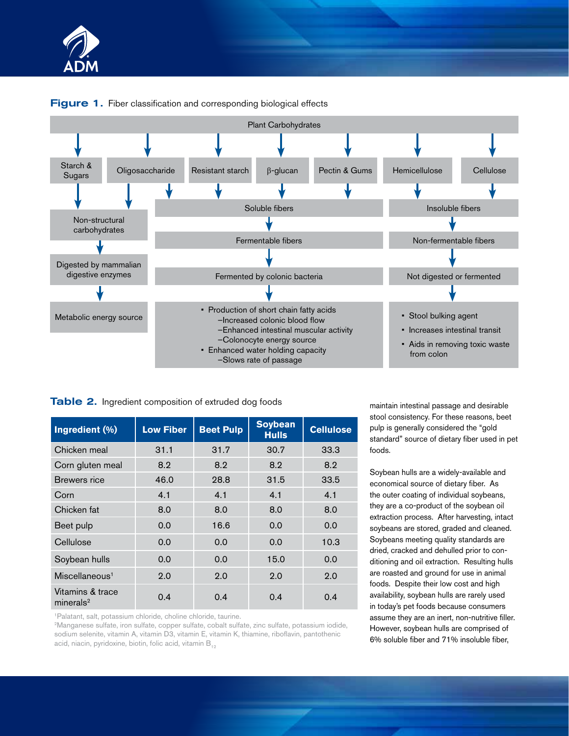

### **Figure 1.** Fiber classification and corresponding biological effects

### Table 2. Ingredient composition of extruded dog foods

| Ingredient (%)                    | <b>Low Fiber</b> | <b>Beet Pulp</b> | <b>Soybean</b><br><b>Hulls</b> | <b>Cellulose</b> |
|-----------------------------------|------------------|------------------|--------------------------------|------------------|
| Chicken meal                      | 31.1             | 31.7             | 30.7                           | 33.3             |
| Corn gluten meal                  | 8.2              | 8.2              | 8.2                            | 8.2              |
| Brewers rice                      | 46.0             | 28.8             | 31.5                           | 33.5             |
| Corn                              | 4.1              | 4.1              | 4.1                            | 4.1              |
| Chicken fat                       | 8.0              | 8.0              | 8.0                            | 8.0              |
| Beet pulp                         | 0.0              | 16.6             | 0.0                            | 0.0              |
| Cellulose                         | 0.0              | 0.0              | 0.0                            | 10.3             |
| Soybean hulls                     | 0.0              | 0.0              | 15.0                           | 0.0              |
| Miscellaneous <sup>1</sup>        | 2.0              | 2.0              | 2.0                            | 2.0              |
| Vitamins & trace<br>mineral $s^2$ | 0.4              | 0.4              | 0.4                            | 0.4              |

1Palatant, salt, potassium chloride, choline chloride, taurine.

2Manganese sulfate, iron sulfate, copper sulfate, cobalt sulfate, zinc sulfate, potassium iodide, sodium selenite, vitamin A, vitamin D3, vitamin E, vitamin K, thiamine, riboflavin, pantothenic acid, niacin, pyridoxine, biotin, folic acid, vitamin  $B_{12}$ 

maintain intestinal passage and desirable stool consistency. For these reasons, beet pulp is generally considered the "gold standard" source of dietary fiber used in pet foods.

Soybean hulls are a widely-available and economical source of dietary fiber. As the outer coating of individual soybeans, they are a co-product of the soybean oil extraction process. After harvesting, intact soybeans are stored, graded and cleaned. Soybeans meeting quality standards are dried, cracked and dehulled prior to conditioning and oil extraction. Resulting hulls are roasted and ground for use in animal foods. Despite their low cost and high availability, soybean hulls are rarely used in today's pet foods because consumers assume they are an inert, non-nutritive filler. However, soybean hulls are comprised of 6% soluble fiber and 71% insoluble fiber,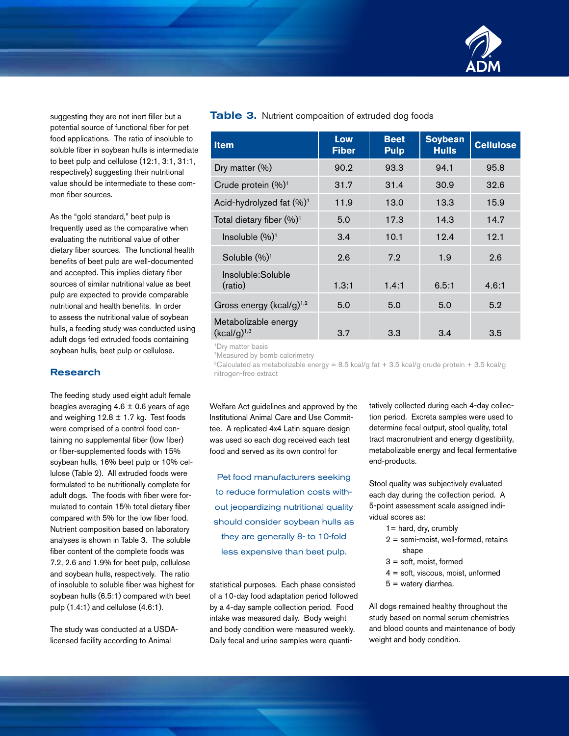

suggesting they are not inert filler but a potential source of functional fiber for pet food applications. The ratio of insoluble to soluble fiber in soybean hulls is intermediate to beet pulp and cellulose (12:1, 3:1, 31:1, respectively) suggesting their nutritional value should be intermediate to these common fiber sources.

As the "gold standard," beet pulp is frequently used as the comparative when evaluating the nutritional value of other dietary fiber sources. The functional health benefits of beet pulp are well-documented and accepted. This implies dietary fiber sources of similar nutritional value as beet pulp are expected to provide comparable nutritional and health benefits. In order to assess the nutritional value of soybean hulls, a feeding study was conducted using adult dogs fed extruded foods containing soybean hulls, beet pulp or cellulose.

#### Research

The feeding study used eight adult female beagles averaging  $4.6 \pm 0.6$  years of age and weighing  $12.8 \pm 1.7$  kg. Test foods were comprised of a control food containing no supplemental fiber (low fiber) or fiber-supplemented foods with 15% soybean hulls, 16% beet pulp or 10% cellulose (Table 2). All extruded foods were formulated to be nutritionally complete for adult dogs. The foods with fiber were formulated to contain 15% total dietary fiber compared with 5% for the low fiber food. Nutrient composition based on laboratory analyses is shown in Table 3. The soluble fiber content of the complete foods was 7.2, 2.6 and 1.9% for beet pulp, cellulose and soybean hulls, respectively. The ratio of insoluble to soluble fiber was highest for soybean hulls (6.5:1) compared with beet pulp (1.4:1) and cellulose (4.6:1).

The study was conducted at a USDAlicensed facility according to Animal

#### Table 3. Nutrient composition of extruded dog foods

| <b>Item</b>                              | Low<br><b>Fiber</b> | <b>Beet</b><br><b>Pulp</b> | <b>Soybean</b><br><b>Hulls</b> | <b>Cellulose</b> |
|------------------------------------------|---------------------|----------------------------|--------------------------------|------------------|
| Dry matter (%)                           | 90.2                | 93.3                       | 94.1                           | 95.8             |
| Crude protein (%) <sup>1</sup>           | 31.7                | 31.4                       | 30.9                           | 32.6             |
| Acid-hydrolyzed fat (%) <sup>1</sup>     | 11.9                | 13.0                       | 13.3                           | 15.9             |
| Total dietary fiber (%) <sup>1</sup>     | 5.0                 | 17.3                       | 14.3                           | 14.7             |
| Insoluble $(\%)^1$                       | 3.4                 | 10.1                       | 12.4                           | 12.1             |
| Soluble $(\%)^1$                         | 2.6                 | 7.2                        | 1.9                            | 2.6              |
| Insoluble:Soluble<br>(ratio)             | 1.3:1               | 1.4:1                      | 6.5:1                          | 4.6:1            |
| Gross energy ( $kcal/g$ ) <sup>1,2</sup> | 5.0                 | 5.0                        | 5.0                            | 5.2              |
| Metabolizable energy<br>$(kcal/g)^{1,3}$ | 3.7                 | 3.3                        | 3.4                            | 3.5              |

<sup>1</sup>Dry matter basis

2Measured by bomb calorimetry

<sup>3</sup>Calculated as metabolizable energy = 8.5 kcal/g fat + 3.5 kcal/g crude protein + 3.5 kcal/g nitrogen-free extract

Welfare Act guidelines and approved by the Institutional Animal Care and Use Committee. A replicated 4x4 Latin square design was used so each dog received each test food and served as its own control for

Pet food manufacturers seeking to reduce formulation costs without jeopardizing nutritional quality should consider soybean hulls as they are generally 8- to 10-fold less expensive than beet pulp.

statistical purposes. Each phase consisted of a 10-day food adaptation period followed by a 4-day sample collection period. Food intake was measured daily. Body weight and body condition were measured weekly. Daily fecal and urine samples were quantitatively collected during each 4-day collection period. Excreta samples were used to determine fecal output, stool quality, total tract macronutrient and energy digestibility, metabolizable energy and fecal fermentative end-products.

Stool quality was subjectively evaluated each day during the collection period. A 5-point assessment scale assigned individual scores as:

- $1 =$  hard, dry, crumbly
- 2 = semi-moist, well-formed, retains shape
- 3 = soft, moist, formed
- 4 = soft, viscous, moist, unformed
- 5 = watery diarrhea.

All dogs remained healthy throughout the study based on normal serum chemistries and blood counts and maintenance of body weight and body condition.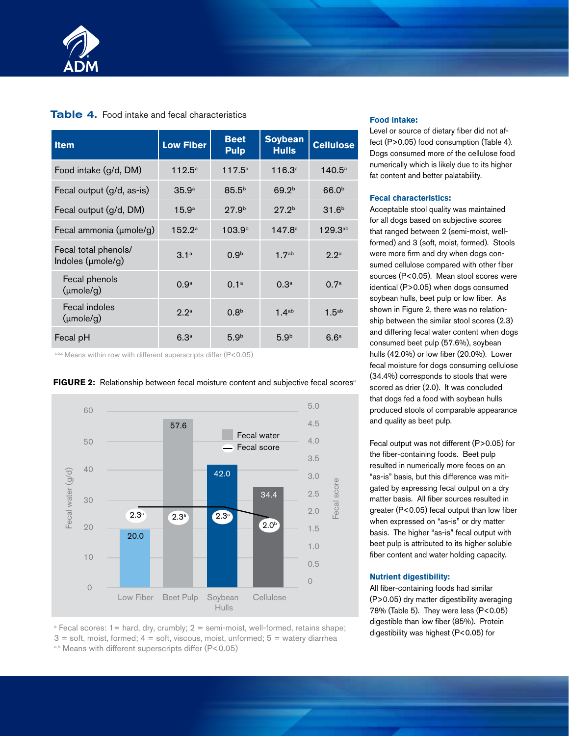

#### Table 4. Food intake and fecal characteristics

| <b>Item</b>                               | <b>Low Fiber</b>  | <b>Beet</b><br><b>Pulp</b> | <b>Soybean</b><br><b>Hulls</b> | <b>Cellulose</b>  |
|-------------------------------------------|-------------------|----------------------------|--------------------------------|-------------------|
| Food intake (g/d, DM)                     | $112.5^{\circ}$   | $117.5^{\circ}$            | $116.3^{\circ}$                | $140.5^{\circ}$   |
| Fecal output (g/d, as-is)                 | 35.9 <sup>a</sup> | $85.5^{b}$                 | 69.2 <sup>b</sup>              | 66.0 <sup>b</sup> |
| Fecal output (g/d, DM)                    | 15.9 <sup>a</sup> | 27.9 <sup>b</sup>          | 27.2 <sup>b</sup>              | 31.6 <sup>b</sup> |
| Fecal ammonia (umole/g)                   | 152.2a            | 103.9 <sup>b</sup>         | 147.8 <sup>a</sup>             | $129.3^{ab}$      |
| Fecal total phenols/<br>Indoles (µmole/g) | 3.1 <sup>a</sup>  | 0.9 <sup>b</sup>           | 1.7 <sup>ab</sup>              | 2.2 <sup>a</sup>  |
| Fecal phenols<br>(mole/g)                 | 0.9 <sup>a</sup>  | 0.1 <sup>a</sup>           | 0.3 <sup>a</sup>               | 0.7 <sup>a</sup>  |
| Fecal indoles<br>(mole/g)                 | 2.2 <sup>a</sup>  | 0.8 <sup>b</sup>           | 1.4 <sup>ab</sup>              | 1.5 <sup>ab</sup> |
| Fecal pH                                  | 6.3 <sup>a</sup>  | 5.9 <sup>b</sup>           | 5.9 <sup>b</sup>               | 6.6 <sup>a</sup>  |

a,b,c Means within row with different superscripts differ (P<0.05)



#### **FIGURE 2:** Relationship between fecal moisture content and subjective fecal scores<sup>a</sup>

<sup>a</sup> Fecal scores: 1= hard, dry, crumbly; 2 = semi-moist, well-formed, retains shape;  $3 =$  soft, moist, formed;  $4 =$  soft, viscous, moist, unformed;  $5 =$  watery diarrhea a,b Means with different superscripts differ (P<0.05)

#### **Food intake:**

Level or source of dietary fiber did not affect (P>0.05) food consumption (Table 4). Dogs consumed more of the cellulose food numerically which is likely due to its higher fat content and better palatability.

#### **Fecal characteristics:**

Acceptable stool quality was maintained for all dogs based on subjective scores that ranged between 2 (semi-moist, wellformed) and 3 (soft, moist, formed). Stools were more firm and dry when dogs consumed cellulose compared with other fiber sources (P<0.05). Mean stool scores were identical (P>0.05) when dogs consumed soybean hulls, beet pulp or low fiber. As shown in Figure 2, there was no relationship between the similar stool scores (2.3) and differing fecal water content when dogs consumed beet pulp (57.6%), soybean hulls (42.0%) or low fiber (20.0%). Lower fecal moisture for dogs consuming cellulose (34.4%) corresponds to stools that were scored as drier (2.0). It was concluded that dogs fed a food with soybean hulls produced stools of comparable appearance and quality as beet pulp.

Fecal output was not different (P>0.05) for the fiber-containing foods. Beet pulp resulted in numerically more feces on an "as-is" basis, but this difference was mitigated by expressing fecal output on a dry matter basis. All fiber sources resulted in greater (P<0.05) fecal output than low fiber when expressed on "as-is" or dry matter basis. The higher "as-is" fecal output with beet pulp is attributed to its higher soluble fiber content and water holding capacity.

#### **Nutrient digestibility:**

All fiber-containing foods had similar (P>0.05) dry matter digestibility averaging 78% (Table 5). They were less (P<0.05) digestible than low fiber (85%). Protein digestibility was highest (P<0.05) for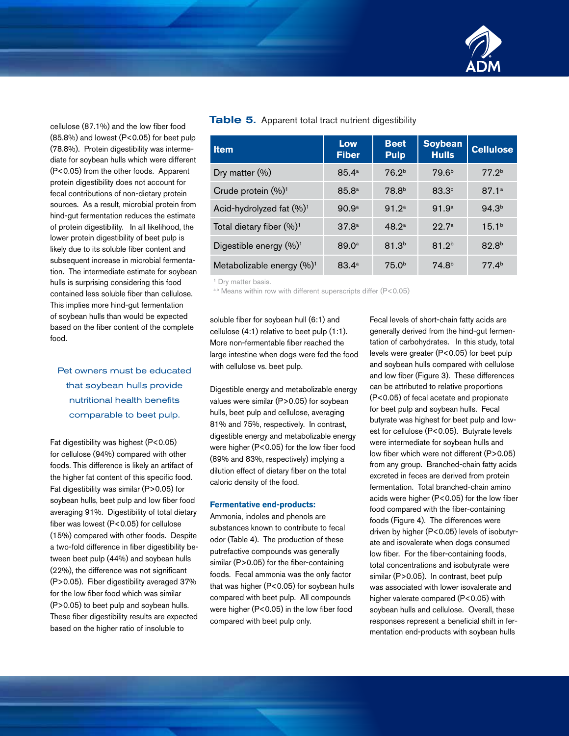

cellulose (87.1%) and the low fiber food (85.8%) and lowest (P<0.05) for beet pulp (78.8%). Protein digestibility was intermediate for soybean hulls which were different (P<0.05) from the other foods. Apparent protein digestibility does not account for fecal contributions of non-dietary protein sources. As a result, microbial protein from hind-gut fermentation reduces the estimate of protein digestibility. In all likelihood, the lower protein digestibility of beet pulp is likely due to its soluble fiber content and subsequent increase in microbial fermentation. The intermediate estimate for soybean hulls is surprising considering this food contained less soluble fiber than cellulose. This implies more hind-gut fermentation of soybean hulls than would be expected based on the fiber content of the complete food.

## Pet owners must be educated that soybean hulls provide nutritional health benefits comparable to beet pulp.

Fat digestibility was highest (P<0.05) for cellulose (94%) compared with other foods. This difference is likely an artifact of the higher fat content of this specific food. Fat digestibility was similar (P>0.05) for soybean hulls, beet pulp and low fiber food averaging 91%. Digestibility of total dietary fiber was lowest (P<0.05) for cellulose (15%) compared with other foods. Despite a two-fold difference in fiber digestibility between beet pulp (44%) and soybean hulls (22%), the difference was not significant (P>0.05). Fiber digestibility averaged 37% for the low fiber food which was similar (P>0.05) to beet pulp and soybean hulls. These fiber digestibility results are expected based on the higher ratio of insoluble to

#### **Table 5.** Apparent total tract nutrient digestibility

| <b>Item</b>                           | Low<br><b>Fiber</b> | <b>Beet</b><br><b>Pulp</b> | <b>Soybean</b><br><b>Hulls</b> | <b>Cellulose</b>  |
|---------------------------------------|---------------------|----------------------------|--------------------------------|-------------------|
| Dry matter $(\% )$                    | $85.4^{\circ}$      | 76.2 <sup>b</sup>          | 79.6 <sup>b</sup>              | 77.2 <sup>b</sup> |
| Crude protein (%) <sup>1</sup>        | 85.8 <sup>a</sup>   | 78.8 <sup>b</sup>          | $83.3^\circ$                   | 87.1 <sup>a</sup> |
| Acid-hydrolyzed fat $(\%)^1$          | 90.9 <sup>a</sup>   | 91.2 <sup>a</sup>          | 91.9 <sup>a</sup>              | 94.3 <sup>b</sup> |
| Total dietary fiber $(\%)^1$          | 37.8 <sup>a</sup>   | 48.2 <sup>a</sup>          | 22.7 <sup>a</sup>              | 15.1 <sup>b</sup> |
| Digestible energy $(\%)^1$            | 89.0 <sup>a</sup>   | 81.3 <sup>b</sup>          | 81.2 <sup>b</sup>              | 82.8 <sup>b</sup> |
| Metabolizable energy (%) <sup>1</sup> | $83.4^{\circ}$      | 75.0 <sup>b</sup>          | 74.8 <sup>b</sup>              | 77.4 <sup>b</sup> |

<sup>1</sup> Dry matter basis.

a,b Means within row with different superscripts differ (P<0.05)

soluble fiber for soybean hull (6:1) and cellulose (4:1) relative to beet pulp (1:1). More non-fermentable fiber reached the large intestine when dogs were fed the food with cellulose vs. beet pulp.

Digestible energy and metabolizable energy values were similar (P>0.05) for soybean hulls, beet pulp and cellulose, averaging 81% and 75%, respectively. In contrast, digestible energy and metabolizable energy were higher (P<0.05) for the low fiber food (89% and 83%, respectively) implying a dilution effect of dietary fiber on the total caloric density of the food.

#### **Fermentative end-products:**

Ammonia, indoles and phenols are substances known to contribute to fecal odor (Table 4). The production of these putrefactive compounds was generally similar (P>0.05) for the fiber-containing foods. Fecal ammonia was the only factor that was higher (P<0.05) for soybean hulls compared with beet pulp. All compounds were higher (P<0.05) in the low fiber food compared with beet pulp only.

Fecal levels of short-chain fatty acids are generally derived from the hind-gut fermentation of carbohydrates. In this study, total levels were greater (P<0.05) for beet pulp and soybean hulls compared with cellulose and low fiber (Figure 3). These differences can be attributed to relative proportions (P<0.05) of fecal acetate and propionate for beet pulp and soybean hulls. Fecal butyrate was highest for beet pulp and lowest for cellulose (P<0.05). Butyrate levels were intermediate for soybean hulls and low fiber which were not different (P>0.05) from any group. Branched-chain fatty acids excreted in feces are derived from protein fermentation. Total branched-chain amino acids were higher (P<0.05) for the low fiber food compared with the fiber-containing foods (Figure 4). The differences were driven by higher (P<0.05) levels of isobutyrate and isovalerate when dogs consumed low fiber. For the fiber-containing foods, total concentrations and isobutyrate were similar (P>0.05). In contrast, beet pulp was associated with lower isovalerate and higher valerate compared (P<0.05) with soybean hulls and cellulose. Overall, these responses represent a beneficial shift in fermentation end-products with soybean hulls